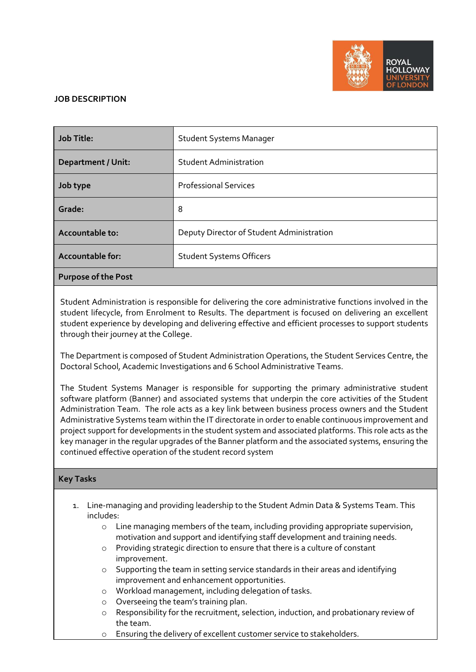

## **JOB DESCRIPTION**

| Job Title:                 | <b>Student Systems Manager</b>            |
|----------------------------|-------------------------------------------|
| <b>Department / Unit:</b>  | <b>Student Administration</b>             |
| Job type                   | <b>Professional Services</b>              |
| Grade:                     | 8                                         |
| Accountable to:            | Deputy Director of Student Administration |
| Accountable for:           | <b>Student Systems Officers</b>           |
| <b>Purpose of the Post</b> |                                           |

Student Administration is responsible for delivering the core administrative functions involved in the student lifecycle, from Enrolment to Results. The department is focused on delivering an excellent student experience by developing and delivering effective and efficient processes to support students through their journey at the College.

The Department is composed of Student Administration Operations, the Student Services Centre, the Doctoral School, Academic Investigations and 6 School Administrative Teams.

The Student Systems Manager is responsible for supporting the primary administrative student software platform (Banner) and associated systems that underpin the core activities of the Student Administration Team. The role acts as a key link between business process owners and the Student Administrative Systems team within the IT directorate in order to enable continuous improvement and project support for developments in the student system and associated platforms. This role acts as the key manager in the regular upgrades of the Banner platform and the associated systems, ensuring the continued effective operation of the student record system

# **Key Tasks**

- 1. Line-managing and providing leadership to the Student Admin Data & Systems Team. This includes:
	- $\circ$  Line managing members of the team, including providing appropriate supervision, motivation and support and identifying staff development and training needs.
	- o Providing strategic direction to ensure that there is a culture of constant improvement.
	- o Supporting the team in setting service standards in their areas and identifying improvement and enhancement opportunities.
	- o Workload management, including delegation of tasks.
	- o Overseeing the team's training plan.
	- o Responsibility for the recruitment, selection, induction, and probationary review of the team.
	- o Ensuring the delivery of excellent customer service to stakeholders.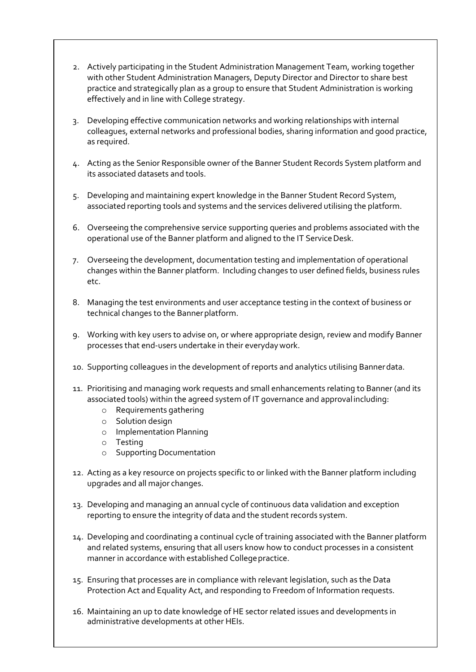- 2. Actively participating in the Student Administration Management Team, working together with other Student Administration Managers, Deputy Director and Director to share best practice and strategically plan as a group to ensure that Student Administration is working effectively and in line with College strategy.
- 3. Developing effective communication networks and working relationships with internal colleagues, external networks and professional bodies, sharing information and good practice, as required.
- 4. Acting as the Senior Responsible owner of the Banner Student Records System platform and its associated datasets and tools.
- 5. Developing and maintaining expert knowledge in the Banner Student Record System, associated reporting tools and systems and the services delivered utilising the platform.
- 6. Overseeing the comprehensive service supporting queries and problems associated with the operational use of the Banner platform and aligned to the IT Service Desk.
- 7. Overseeing the development, documentation testing and implementation of operational changes within the Banner platform. Including changes to user defined fields, business rules etc.
- 8. Managing the test environments and user acceptance testing in the context of business or technical changes to the Banner platform.
- 9. Working with key users to advise on, or where appropriate design, review and modify Banner processes that end-users undertake in their everydaywork.
- 10. Supporting colleagues in the development of reports and analytics utilising Bannerdata.
- 11. Prioritising and managing work requests and small enhancements relating to Banner (and its associated tools) within the agreed system of IT governance and approvalincluding:
	- o Requirements gathering
	- o Solution design
	- o Implementation Planning
	- o Testing
	- o Supporting Documentation
- 12. Acting as a key resource on projects specific to or linked with the Banner platform including upgrades and all major changes.
- 13. Developing and managing an annual cycle of continuous data validation and exception reporting to ensure the integrity of data and the student records system.
- 14. Developing and coordinating a continual cycle of training associated with the Banner platform and related systems, ensuring that all users know how to conduct processes in a consistent manner in accordance with established College practice.
- 15. Ensuring that processes are in compliance with relevant legislation, such as the Data Protection Act and Equality Act, and responding to Freedom of Information requests.
- 16. Maintaining an up to date knowledge of HE sector related issues and developments in administrative developments at other HEIs.